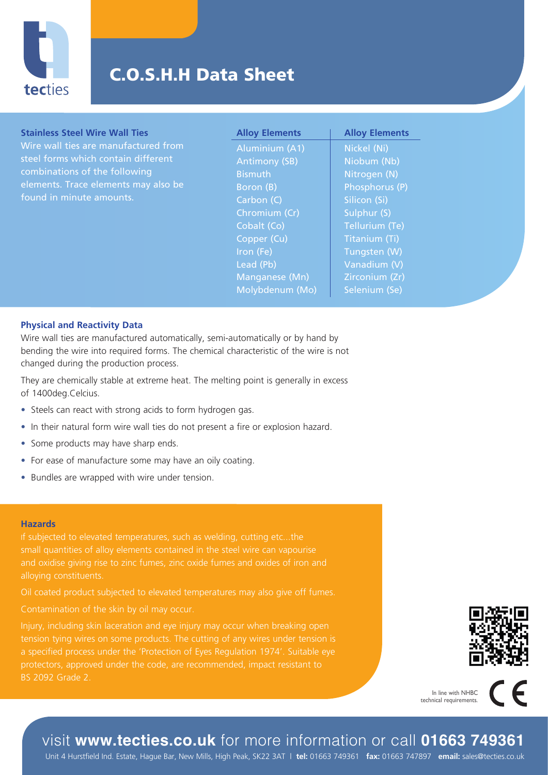

# C.O.S.H.H Data Sheet

### **Stainless Steel Wire Wall Ties**

Wire wall ties are manufactured from steel forms which contain different combinations of the following elements. Trace elements may also be found in minute amounts.

**Alloy Elements** Aluminium (A1) Antimony (SB) **Bismuth** Boron (B) Carbon (C) Chromium (Cr) Cobalt (Co) Copper (Cu) Iron (Fe) Lead (Pb) Manganese (Mn) Molybdenum (Mo)

**Alloy Elements** Nickel (Ni) Niobum (Nb) Nitrogen (N) Phosphorus (P) Silicon (Si) Sulphur (S) Tellurium (Te) Titanium (Ti) Tungsten (W) Vanadium (V) Zirconium (Zr) Selenium (Se)

### **Physical and Reactivity Data**

Wire wall ties are manufactured automatically, semi-automatically or by hand by bending the wire into required forms. The chemical characteristic of the wire is not changed during the production process.

They are chemically stable at extreme heat. The melting point is generally in excess of 1400deg.Celcius.

- Steels can react with strong acids to form hydrogen gas.
- In their natural form wire wall ties do not present a fire or explosion hazard.
- Some products may have sharp ends.
- For ease of manufacture some may have an oily coating.
- Bundles are wrapped with wire under tension.

#### **Hazards**

small quantities of alloy elements contained in the steel wire can vapourise and oxidise giving rise to zinc fumes, zinc oxide fumes and oxides of iron and

BS 2092 Grade 2.



In line with NHBC technical requirements.

## visit **www.tecties.co.uk** for more information or call **01663 749361**

Unit 4 Hurstfield Ind. Estate, Hague Bar, New Mills, High Peak, SK22 3AT | **tel:** 01663 749361 **fax:** 01663 747897 **email:** sales@tecties.co.uk